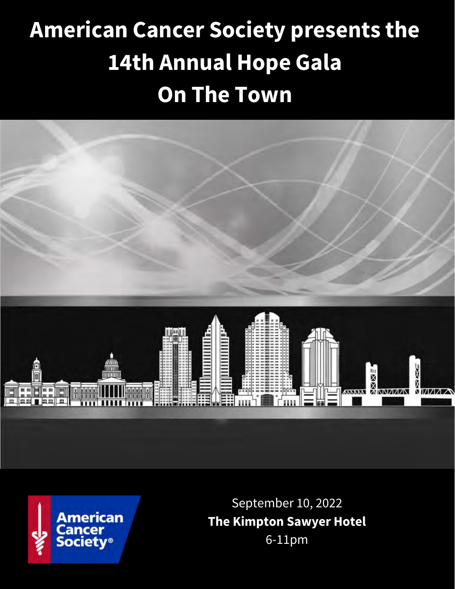# **American Cancer Society presents the 14th Annual Hope Gala On The Town**





September 10, 2022 **The Kimpton Sawyer Hotel** 6-11pm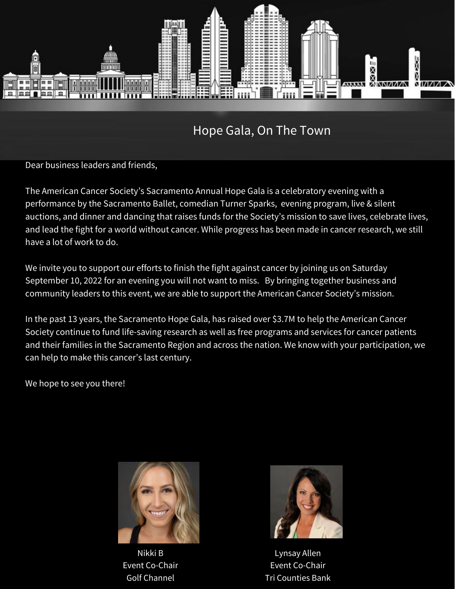

Hope Gala, On The Town

Dear business leaders and friends,

The American Cancer Society's Sacramento Annual Hope Gala is a celebratory evening with a performance by the Sacramento Ballet, comedian Turner Sparks, evening program, live & silent auctions, and dinner and dancing that raises funds for the Society's mission to save lives, celebrate lives, and lead the fight for a world without cancer. While progress has been made in cancer research, we still have a lot of work to do.

We invite you to support our efforts to finish the fight against cancer by joining us on Saturday September 10, 2022 for an evening you will not want to miss. By bringing together business and community leaders to this event, we are able to support the American Cancer Society's mission.

In the past 13 years, the Sacramento Hope Gala, has raised over \$3.7M to help the American Cancer Society continue to fund life-saving research as well as free programs and services for cancer patients and their families in the Sacramento Region and across the nation. We know with your participation, we can help to make this cancer's last century.

We hope to see you there!



Nikki B Event Co-Chair Golf Channel



Lynsay Allen Event Co-Chair Tri Counties Bank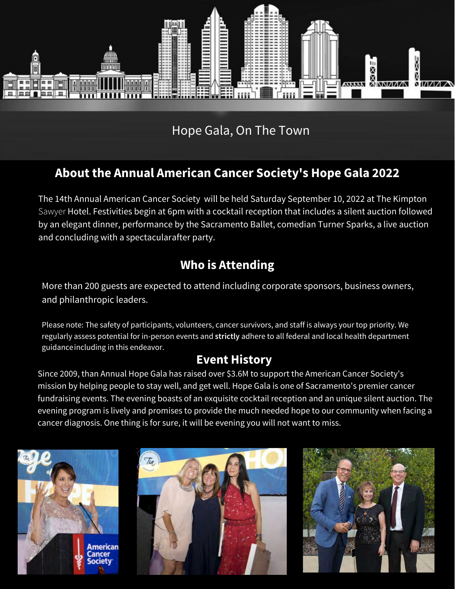

Hope Gala, On The Town

## **About the Annual American Cancer Society's Hope Gala 2022**

The 14th Annual American Cancer Society will be held Saturday September 10, 2022 at The Kimpton Sawyer Hotel. Festivities begin at 6pm with a cocktail reception that includes a silent auction followed by an elegant dinner, performance by the Sacramento Ballet, comedian Turner Sparks, a live auction and concluding with a spectacularafter party.

### **Who is Attending**

More than 200 guests are expected to attend including corporate sponsors, business owners, and philanthropic leaders.

Please note: The safety of participants, volunteers, cancer survivors, and staff is always your top priority. We regularly assess potential for in-person events and **strictly** adhere to all federal and local health department guidance including in this endeavor.

#### **Event History**

Since 2009, than Annual Hope Gala has raised over \$3.6M to support the American Cancer Society's mission by helping people to stay well, and get well. Hope Gala is one of Sacramento's premier cancer fundraising events. The evening boasts of an exquisite cocktail reception and an unique silent auction. The evening program is lively and promises to provide the much needed hope to our community when facing a cancer diagnosis. One thing is for sure, it will be evening you will not want to miss.





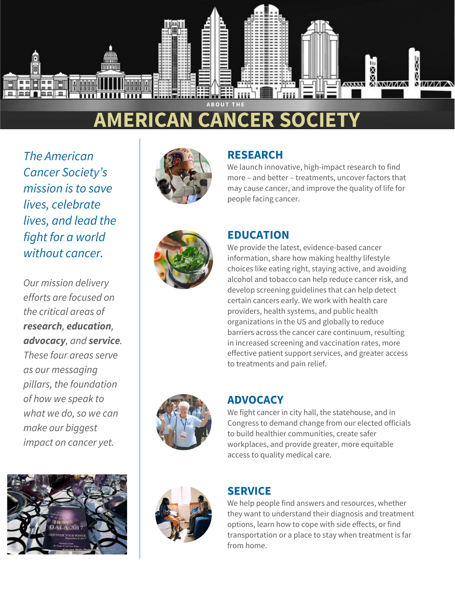

## **ERICAN CANCER SOC**

*The American Cancer Society's mission is to save lives, celebrate lives, and lead the fight for a world without cancer.*

*Our mission delivery efforts are focused on the critical areas of research, education, advocacy, and service. These four areas serve as our messaging pillars, the foundation of how we speak to what we do, so we can make our biggest impact on cancer yet.*





#### **RESEARCH**

We launch innovative, high-impact research to find more – and better – treatments, uncover factors that may cause cancer, and improve the quality of life for people facing cancer.



#### **EDUCATION**

We provide the latest, evidence-based cancer information, share how making healthy lifestyle choices like eating right, staying active, and avoiding alcohol and tobacco can help reduce cancer risk, and develop screening guidelines that can help detect certain cancers early. We work with health care providers, health systems, and public health organizations in the US and globally to reduce barriers across the cancer care continuum, resulting in increased screening and vaccination rates, more effective patient support services, and greater access to treatments and pain relief.



#### **ADVOCACY**

We fight cancer in city hall, the statehouse, and in Congress to demand change from our elected officials to build healthier communities, create safer workplaces, and provide greater, more equitable access to quality medical care.



#### **SERVICE**

We help people find answers and resources, whether they want to understand their diagnosis and treatment options, learn how to cope with side effects, or find transportation or a place to stay when treatment is far from home.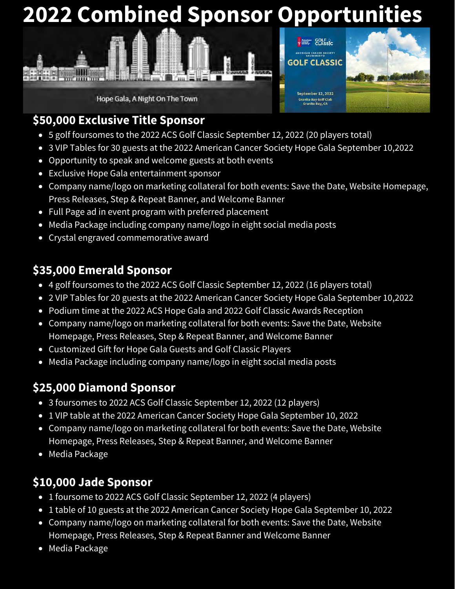## **2022 Combined Sponsor Opportunities**



Hope Gala, A Night On The Town



## **\$50,000 Exclusive Title Sponsor**

- 5 golf foursomes to the 2022 ACS Golf Classic September 12, 2022 (20 players total)
- 3 VIP Tables for 30 guests at the 2022 American Cancer Society Hope Gala September 10,2022
- Opportunity to speak and welcome guests at both events
- Exclusive Hope Gala entertainment sponsor
- Company name/logo on marketing collateral for both events: Save the Date, Website Homepage, Press Releases, Step & Repeat Banner, and Welcome Banner
- Full Page ad in event program with preferred placement
- Media Package including company name/logo in eight social media posts
- Crystal engraved commemorative award

## **\$35,000 Emerald Sponsor**

- 4 golf foursomes to the 2022 ACS Golf Classic September 12, 2022 (16 players total)
- 2 VIP Tables for 20 guests at the 2022 American Cancer Society Hope Gala September 10,2022
- Podium time at the 2022 ACS Hope Gala and 2022 Golf Classic Awards Reception
- Company name/logo on marketing collateral for both events: Save the Date, Website Homepage, Press Releases, Step & Repeat Banner, and Welcome Banner
- Customized Gift for Hope Gala Guests and Golf Classic Players
- Media Package including company name/logo in eight social media posts

## **\$25,000 Diamond Sponsor**

- 3 foursomes to 2022 ACS Golf Classic September 12, 2022 (12 players)
- 1 VIP table at the 2022 American Cancer Society Hope Gala September 10, 2022
- Company name/logo on marketing collateral for both events: Save the Date, Website Homepage, Press Releases, Step & Repeat Banner, and Welcome Banner
- Media Package

## **\$10,000 Jade Sponsor**

- 1 foursome to 2022 ACS Golf Classic September 12, 2022 (4 players)
- 1 table of 10 guests at the 2022 American Cancer Society Hope Gala September 10, 2022
- Company name/logo on marketing collateral for both events: Save the Date, Website Homepage, Press Releases, Step & Repeat Banner and Welcome Banner
- Media Package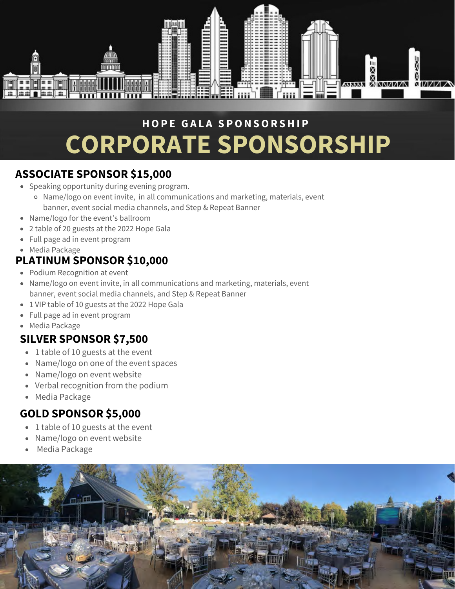

## **H O P E G A L A S P O N S O R S H I P CORPORATE SPONSORSHIP**

#### **ASSOCIATE SPONSOR \$15,000**

- Speaking opportunity during evening program.
	- Name/logo on event invite, in all communications and marketing, materials, event banner, event social media channels, and Step & Repeat Banner
- Name/logo for the event's ballroom
- 2 table of 20 guests at the 2022 Hope Gala
- Full page ad in event program
- Media Package

#### **PLATINUM SPONSOR \$10,000**

- Podium Recognition at event
- Name/logo on event invite, in all communications and marketing, materials, event banner, event social media channels, and Step & Repeat Banner
- 1 VIP table of 10 guests at the 2022 Hope Gala
- Full page ad in event program
- Media Package

### **SILVER SPONSOR \$7,500**

- 1 table of 10 guests at the event
- Name/logo on one of the event spaces  $\bullet$
- Name/logo on event website
- Verbal recognition from the podium  $\bullet$
- Media Package

### **GOLD SPONSOR \$5,000**

- 1 table of 10 guests at the event
- Name/logo on event website
- Media Package

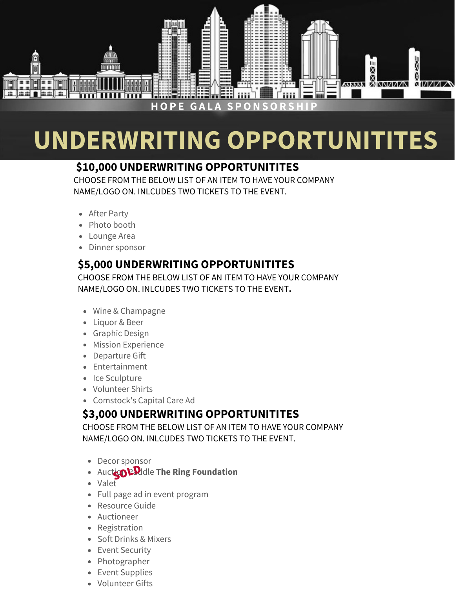

# **UNDERWRITING OPPORTUNITITES**

#### **\$10,000 UNDERWRITING OPPORTUNITITES**

CHOOSE FROM THE BELOW LIST OF AN ITEM TO HAVE YOUR COMPANY NAME/LOGO ON. INLCUDES TWO TICKETS TO THE EVENT.

- After Party
- Photo booth
- Lounge Area
- Dinner sponsor

#### **\$5,000 UNDERWRITING OPPORTUNITITES**

CHOOSE FROM THE BELOW LIST OF AN ITEM TO HAVE YOUR COMPANY NAME/LOGO ON. INLCUDES TWO TICKETS TO THE EVENT**.**

- Wine & Champagne
- Liquor & Beer
- Graphic Design
- Mission Experience
- Departure Gift
- Entertainment
- Ice Sculpture
- Volunteer Shirts
- Comstock's Capital Care Ad

### **\$3,000 UNDERWRITING OPPORTUNITITES**

CHOOSE FROM THE BELOW LIST OF AN ITEM TO HAVE YOUR COMPANY NAME/LOGO ON. INLCUDES TWO TICKETS TO THE EVENT.

- Decor sponsor
- Auct**:30 P.P.**Idle The Ring Foundation
- Valet
- Full page ad in event program
- Resource Guide
- Auctioneer
- Registration
- Soft Drinks & Mixers
- Event Security
- Photographer
- Event Supplies
- Volunteer Gifts